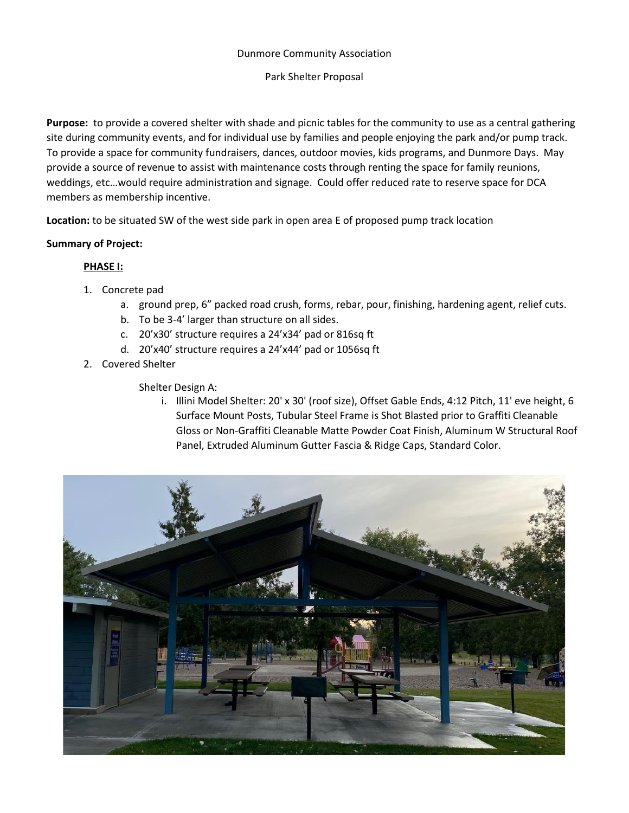#### Dunmore Community Association

#### Park Shelter Proposal

**Purpose:** to provide a covered shelter with shade and picnic tables for the community to use as a central gathering site during community events, and for individual use by families and people enjoying the park and/or pump track. To provide a space for community fundraisers, dances, outdoor movies, kids programs, and Dunmore Days. May provide a source of revenue to assist with maintenance costs through renting the space for family reunions, weddings, etc…would require administration and signage. Could offer reduced rate to reserve space for DCA members as membership incentive.

**Location:** to be situated SW of the west side park in open area E of proposed pump track location

### **Summary of Project:**

### **PHASE I:**

- 1. Concrete pad
	- a. ground prep, 6" packed road crush, forms, rebar, pour, finishing, hardening agent, relief cuts.
	- b. To be 3-4' larger than structure on all sides.
	- c. 20'x30' structure requires a 24'x34' pad or 816sq ft
	- d. 20'x40' structure requires a 24'x44' pad or 1056sq ft
- 2. Covered Shelter

Shelter Design A:

i. Illini Model Shelter: 20' x 30' (roof size), Offset Gable Ends, 4:12 Pitch, 11' eve height, 6 Surface Mount Posts, Tubular Steel Frame is Shot Blasted prior to Graffiti Cleanable Gloss or Non-Graffiti Cleanable Matte Powder Coat Finish, Aluminum W Structural Roof Panel, Extruded Aluminum Gutter Fascia & Ridge Caps, Standard Color.

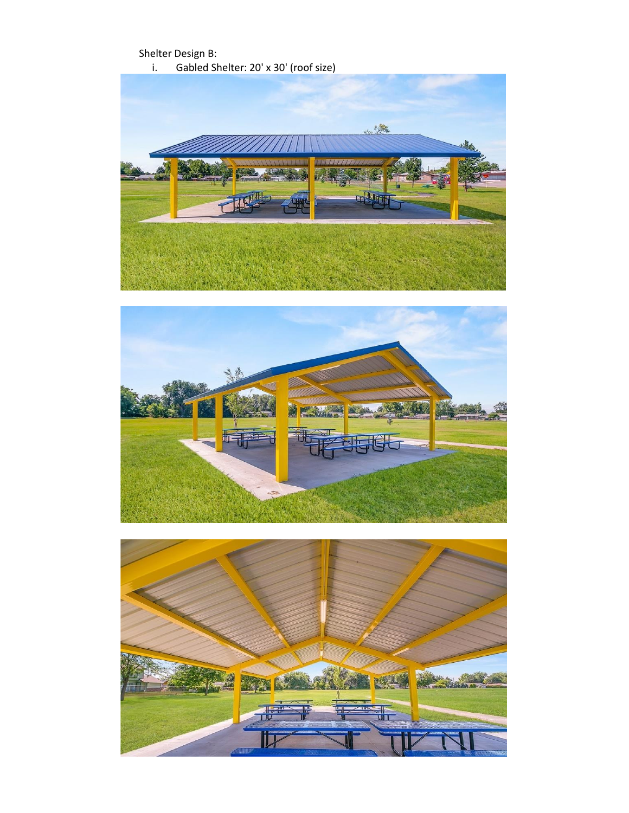



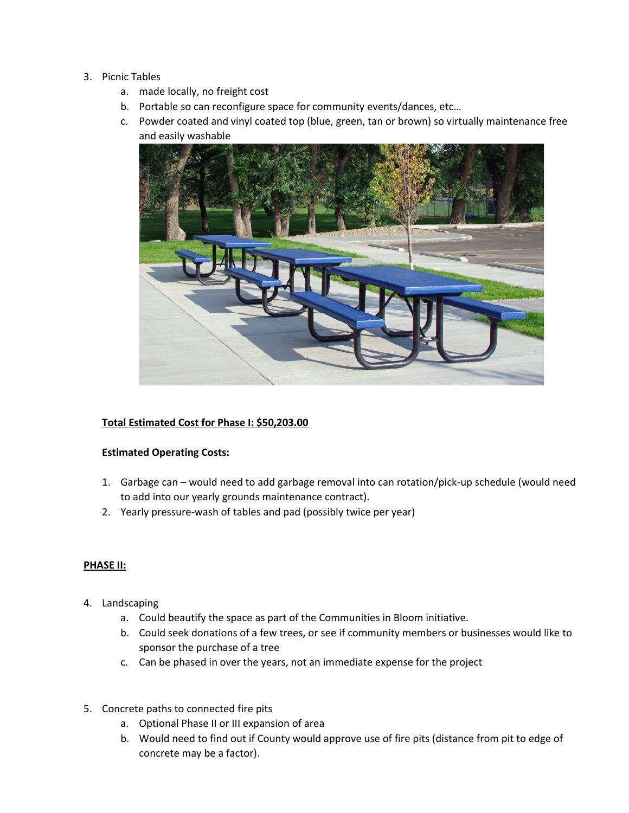## 3. Picnic Tables

- a. made locally, no freight cost
- b. Portable so can reconfigure space for community events/dances, etc…
- c. Powder coated and vinyl coated top (blue, green, tan or brown) so virtually maintenance free and easily washable



# **Total Estimated Cost for Phase I: \$50,203.00**

# **Estimated Operating Costs:**

- 1. Garbage can would need to add garbage removal into can rotation/pick-up schedule (would need to add into our yearly grounds maintenance contract).
- 2. Yearly pressure-wash of tables and pad (possibly twice per year)

# **PHASE II:**

- 4. Landscaping
	- a. Could beautify the space as part of the Communities in Bloom initiative.
	- b. Could seek donations of a few trees, or see if community members or businesses would like to sponsor the purchase of a tree
	- c. Can be phased in over the years, not an immediate expense for the project
- 5. Concrete paths to connected fire pits
	- a. Optional Phase II or III expansion of area
	- b. Would need to find out if County would approve use of fire pits (distance from pit to edge of concrete may be a factor).